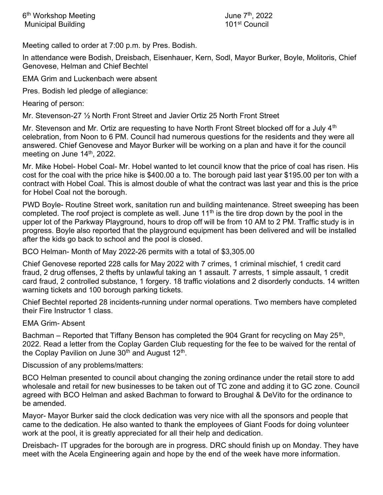Meeting called to order at 7:00 p.m. by Pres. Bodish.

In attendance were Bodish, Dreisbach, Eisenhauer, Kern, Sodl, Mayor Burker, Boyle, Molitoris, Chief Genovese, Helman and Chief Bechtel

EMA Grim and Luckenbach were absent

Pres. Bodish led pledge of allegiance:

Hearing of person:

Mr. Stevenson-27 ½ North Front Street and Javier Ortiz 25 North Front Street

Mr. Stevenson and Mr. Ortiz are requesting to have North Front Street blocked off for a July 4<sup>th</sup> celebration, from Noon to 6 PM. Council had numerous questions for the residents and they were all answered. Chief Genovese and Mayor Burker will be working on a plan and have it for the council meeting on June 14<sup>th</sup>, 2022.

Mr. Mike Hobel- Hobel Coal- Mr. Hobel wanted to let council know that the price of coal has risen. His cost for the coal with the price hike is \$400.00 a to. The borough paid last year \$195.00 per ton with a contract with Hobel Coal. This is almost double of what the contract was last year and this is the price for Hobel Coal not the borough.

PWD Boyle- Routine Street work, sanitation run and building maintenance. Street sweeping has been completed. The roof project is complete as well. June  $11<sup>th</sup>$  is the tire drop down by the pool in the upper lot of the Parkway Playground, hours to drop off will be from 10 AM to 2 PM. Traffic study is in progress. Boyle also reported that the playground equipment has been delivered and will be installed after the kids go back to school and the pool is closed.

BCO Helman- Month of May 2022-26 permits with a total of \$3,305.00

Chief Genovese reported 228 calls for May 2022 with 7 crimes, 1 criminal mischief, 1 credit card fraud, 2 drug offenses, 2 thefts by unlawful taking an 1 assault. 7 arrests, 1 simple assault, 1 credit card fraud, 2 controlled substance, 1 forgery. 18 traffic violations and 2 disorderly conducts. 14 written warning tickets and 100 borough parking tickets.

Chief Bechtel reported 28 incidents-running under normal operations. Two members have completed their Fire Instructor 1 class.

EMA Grim- Absent

Bachman – Reported that Tiffany Benson has completed the 904 Grant for recycling on May 25<sup>th</sup>, 2022. Read a letter from the Coplay Garden Club requesting for the fee to be waived for the rental of the Coplay Pavilion on June 30<sup>th</sup> and August 12<sup>th</sup>.

Discussion of any problems/matters:

BCO Helman presented to council about changing the zoning ordinance under the retail store to add wholesale and retail for new businesses to be taken out of TC zone and adding it to GC zone. Council agreed with BCO Helman and asked Bachman to forward to Broughal & DeVito for the ordinance to be amended.

Mayor- Mayor Burker said the clock dedication was very nice with all the sponsors and people that came to the dedication. He also wanted to thank the employees of Giant Foods for doing volunteer work at the pool, it is greatly appreciated for all their help and dedication.

Dreisbach- IT upgrades for the borough are in progress. DRC should finish up on Monday. They have meet with the Acela Engineering again and hope by the end of the week have more information.